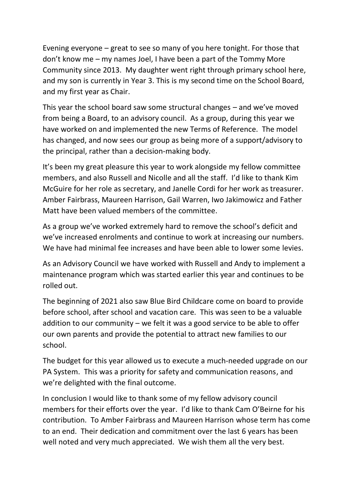Evening everyone – great to see so many of you here tonight. For those that don't know me – my names Joel, I have been a part of the Tommy More Community since 2013. My daughter went right through primary school here, and my son is currently in Year 3. This is my second time on the School Board, and my first year as Chair.

This year the school board saw some structural changes – and we've moved from being a Board, to an advisory council. As a group, during this year we have worked on and implemented the new Terms of Reference. The model has changed, and now sees our group as being more of a support/advisory to the principal, rather than a decision-making body.

It's been my great pleasure this year to work alongside my fellow committee members, and also Russell and Nicolle and all the staff. I'd like to thank Kim McGuire for her role as secretary, and Janelle Cordi for her work as treasurer. Amber Fairbrass, Maureen Harrison, Gail Warren, Iwo Jakimowicz and Father Matt have been valued members of the committee.

As a group we've worked extremely hard to remove the school's deficit and we've increased enrolments and continue to work at increasing our numbers. We have had minimal fee increases and have been able to lower some levies.

As an Advisory Council we have worked with Russell and Andy to implement a maintenance program which was started earlier this year and continues to be rolled out.

The beginning of 2021 also saw Blue Bird Childcare come on board to provide before school, after school and vacation care. This was seen to be a valuable addition to our community – we felt it was a good service to be able to offer our own parents and provide the potential to attract new families to our school.

The budget for this year allowed us to execute a much-needed upgrade on our PA System. This was a priority for safety and communication reasons, and we're delighted with the final outcome.

In conclusion I would like to thank some of my fellow advisory council members for their efforts over the year. I'd like to thank Cam O'Beirne for his contribution. To Amber Fairbrass and Maureen Harrison whose term has come to an end. Their dedication and commitment over the last 6 years has been well noted and very much appreciated. We wish them all the very best.